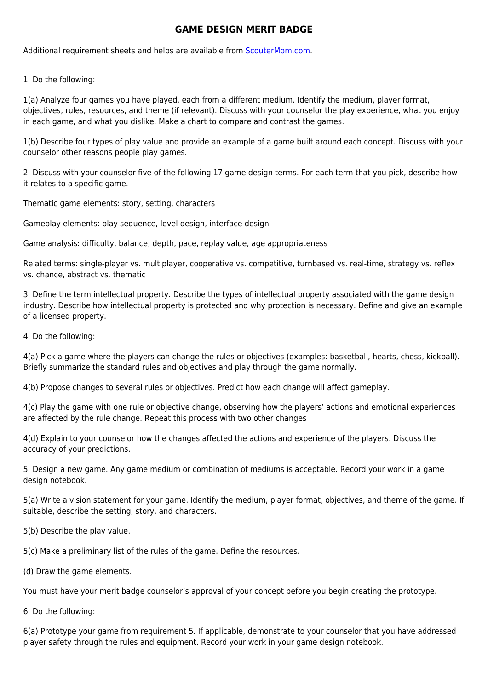## **GAME DESIGN MERIT BADGE**

Additional requirement sheets and helps are available from [ScouterMom.com](http://scoutermom.com).

1. Do the following:

1(a) Analyze four games you have played, each from a different medium. Identify the medium, player format, objectives, rules, resources, and theme (if relevant). Discuss with your counselor the play experience, what you enjoy in each game, and what you dislike. Make a chart to compare and contrast the games.

1(b) Describe four types of play value and provide an example of a game built around each concept. Discuss with your counselor other reasons people play games.

2. Discuss with your counselor five of the following 17 game design terms. For each term that you pick, describe how it relates to a specific game.

Thematic game elements: story, setting, characters

Gameplay elements: play sequence, level design, interface design

Game analysis: difficulty, balance, depth, pace, replay value, age appropriateness

Related terms: single-player vs. multiplayer, cooperative vs. competitive, turnbased vs. real-time, strategy vs. reflex vs. chance, abstract vs. thematic

3. Define the term intellectual property. Describe the types of intellectual property associated with the game design industry. Describe how intellectual property is protected and why protection is necessary. Define and give an example of a licensed property.

4. Do the following:

4(a) Pick a game where the players can change the rules or objectives (examples: basketball, hearts, chess, kickball). Briefly summarize the standard rules and objectives and play through the game normally.

4(b) Propose changes to several rules or objectives. Predict how each change will affect gameplay.

4(c) Play the game with one rule or objective change, observing how the players' actions and emotional experiences are affected by the rule change. Repeat this process with two other changes

4(d) Explain to your counselor how the changes affected the actions and experience of the players. Discuss the accuracy of your predictions.

5. Design a new game. Any game medium or combination of mediums is acceptable. Record your work in a game design notebook.

5(a) Write a vision statement for your game. Identify the medium, player format, objectives, and theme of the game. If suitable, describe the setting, story, and characters.

5(b) Describe the play value.

5(c) Make a preliminary list of the rules of the game. Define the resources.

(d) Draw the game elements.

You must have your merit badge counselor's approval of your concept before you begin creating the prototype.

6. Do the following:

6(a) Prototype your game from requirement 5. If applicable, demonstrate to your counselor that you have addressed player safety through the rules and equipment. Record your work in your game design notebook.